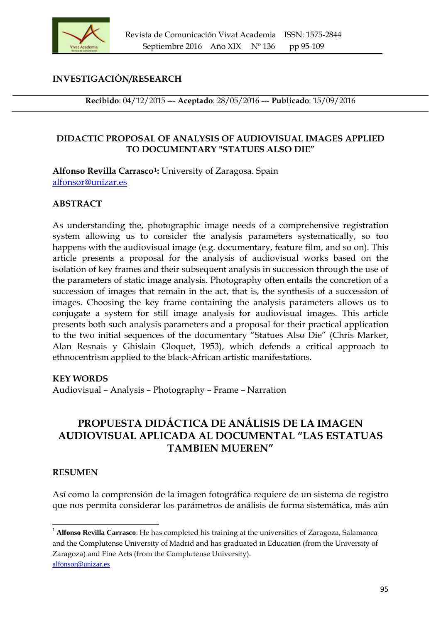

## **INVESTIGACIÓN/RESEARCH**

**Recibido**: 04/12/2015 --- **Aceptado**: 28/05/2016 --- **Publicado**: 15/09/2016

#### **DIDACTIC PROPOSAL OF ANALYSIS OF AUDIOVISUAL IMAGES APPLIED TO DOCUMENTARY "STATUES ALSO DIE"**

**Alfonso Revilla Carrasco[1](#page-0-0):** University of Zaragosa. Spain [alfonsor@unizar.es](mailto:alfonsor@unizar.es)

#### **ABSTRACT**

As understanding the, photographic image needs of a comprehensive registration system allowing us to consider the analysis parameters systematically, so too happens with the audiovisual image (e.g. documentary, feature film, and so on). This article presents a proposal for the analysis of audiovisual works based on the isolation of key frames and their subsequent analysis in succession through the use of the parameters of static image analysis. Photography often entails the concretion of a succession of images that remain in the act, that is, the synthesis of a succession of images. Choosing the key frame containing the analysis parameters allows us to conjugate a system for still image analysis for audiovisual images. This article presents both such analysis parameters and a proposal for their practical application to the two initial sequences of the documentary "Statues Also Die" (Chris Marker, Alan Resnais y Ghislain Gloquet, 1953), which defends a critical approach to ethnocentrism applied to the black-African artistic manifestations.

#### **KEY WORDS**

Audiovisual – Analysis – Photography – Frame – Narration

# **PROPUESTA DIDÁCTICA DE ANÁLISIS DE LA IMAGEN AUDIOVISUAL APLICADA AL DOCUMENTAL "LAS ESTATUAS TAMBIEN MUEREN"**

#### **RESUMEN**

Así como la comprensión de la imagen fotográfica requiere de un sistema de registro que nos permita considerar los parámetros de análisis de forma sistemática, más aún

<span id="page-0-0"></span> <sup>1</sup> **Alfonso Revilla Carrasco**: He has completed his training at the universities of Zaragoza, Salamanca and the Complutense University of Madrid and has graduated in Education (from the University of Zaragoza) and Fine Arts (from the Complutense University). [alfonsor@unizar.es](mailto:alfonsor@unizar.es)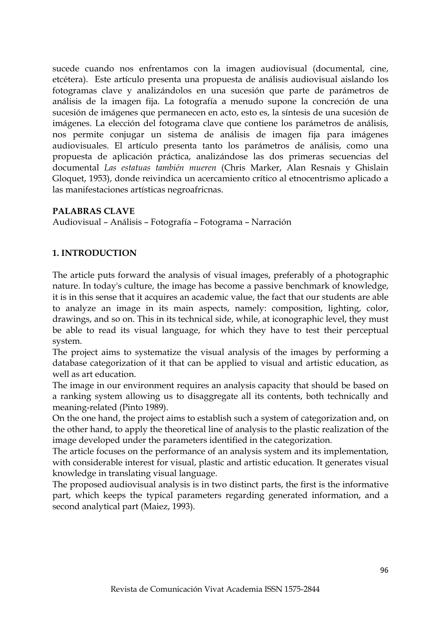sucede cuando nos enfrentamos con la imagen audiovisual (documental, cine, etcétera). Este artículo presenta una propuesta de análisis audiovisual aislando los fotogramas clave y analizándolos en una sucesión que parte de parámetros de análisis de la imagen fija. La fotografía a menudo supone la concreción de una sucesión de imágenes que permanecen en acto, esto es, la síntesis de una sucesión de imágenes. La elección del fotograma clave que contiene los parámetros de análisis, nos permite conjugar un sistema de análisis de imagen fija para imágenes audiovisuales. El artículo presenta tanto los parámetros de análisis, como una propuesta de aplicación práctica, analizándose las dos primeras secuencias del documental *Las estatuas también mueren* (Chris Marker, Alan Resnais y Ghislain Gloquet, 1953), donde reivindica un acercamiento crítico al etnocentrismo aplicado a las manifestaciones artísticas negroafricnas.

## **PALABRAS CLAVE**

Audiovisual – Análisis – Fotografía – Fotograma – Narración

# **1. INTRODUCTION**

The article puts forward the analysis of visual images, preferably of a photographic nature. In today's culture, the image has become a passive benchmark of knowledge, it is in this sense that it acquires an academic value, the fact that our students are able to analyze an image in its main aspects, namely: composition, lighting, color, drawings, and so on. This in its technical side, while, at iconographic level, they must be able to read its visual language, for which they have to test their perceptual system.

The project aims to systematize the visual analysis of the images by performing a database categorization of it that can be applied to visual and artistic education, as well as art education.

The image in our environment requires an analysis capacity that should be based on a ranking system allowing us to disaggregate all its contents, both technically and meaning-related (Pinto 1989).

On the one hand, the project aims to establish such a system of categorization and, on the other hand, to apply the theoretical line of analysis to the plastic realization of the image developed under the parameters identified in the categorization.

The article focuses on the performance of an analysis system and its implementation, with considerable interest for visual, plastic and artistic education. It generates visual knowledge in translating visual language.

The proposed audiovisual analysis is in two distinct parts, the first is the informative part, which keeps the typical parameters regarding generated information, and a second analytical part (Maiez, 1993).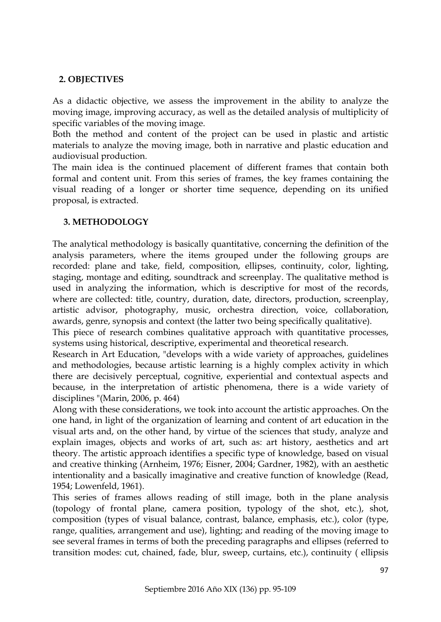## **2. OBJECTIVES**

As a didactic objective, we assess the improvement in the ability to analyze the moving image, improving accuracy, as well as the detailed analysis of multiplicity of specific variables of the moving image.

Both the method and content of the project can be used in plastic and artistic materials to analyze the moving image, both in narrative and plastic education and audiovisual production.

The main idea is the continued placement of different frames that contain both formal and content unit. From this series of frames, the key frames containing the visual reading of a longer or shorter time sequence, depending on its unified proposal, is extracted.

## **3. METHODOLOGY**

The analytical methodology is basically quantitative, concerning the definition of the analysis parameters, where the items grouped under the following groups are recorded: plane and take, field, composition, ellipses, continuity, color, lighting, staging, montage and editing, soundtrack and screenplay. The qualitative method is used in analyzing the information, which is descriptive for most of the records, where are collected: title, country, duration, date, directors, production, screenplay, artistic advisor, photography, music, orchestra direction, voice, collaboration, awards, genre, synopsis and context (the latter two being specifically qualitative).

This piece of research combines qualitative approach with quantitative processes, systems using historical, descriptive, experimental and theoretical research.

Research in Art Education, "develops with a wide variety of approaches, guidelines and methodologies, because artistic learning is a highly complex activity in which there are decisively perceptual, cognitive, experiential and contextual aspects and because, in the interpretation of artistic phenomena, there is a wide variety of disciplines "(Marin, 2006, p. 464)

Along with these considerations, we took into account the artistic approaches. On the one hand, in light of the organization of learning and content of art education in the visual arts and, on the other hand, by virtue of the sciences that study, analyze and explain images, objects and works of art, such as: art history, aesthetics and art theory. The artistic approach identifies a specific type of knowledge, based on visual and creative thinking (Arnheim, 1976; Eisner, 2004; Gardner, 1982), with an aesthetic intentionality and a basically imaginative and creative function of knowledge (Read, 1954; Lowenfeld, 1961).

This series of frames allows reading of still image, both in the plane analysis (topology of frontal plane, camera position, typology of the shot, etc.), shot, composition (types of visual balance, contrast, balance, emphasis, etc.), color (type, range, qualities, arrangement and use), lighting; and reading of the moving image to see several frames in terms of both the preceding paragraphs and ellipses (referred to transition modes: cut, chained, fade, blur, sweep, curtains, etc.), continuity ( ellipsis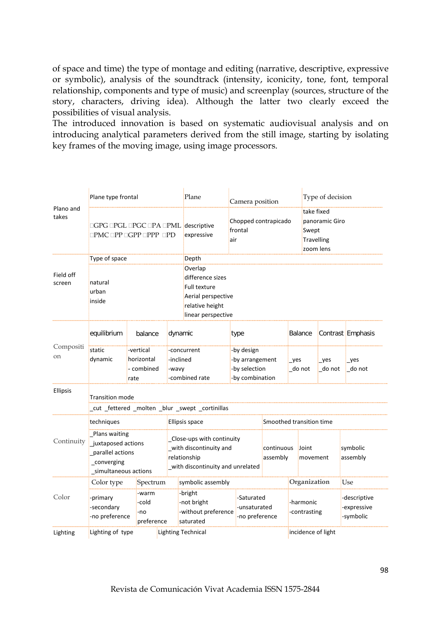of space and time) the type of montage and editing (narrative, descriptive, expressive or symbolic), analysis of the soundtrack (intensity, iconicity, tone, font, temporal relationship, components and type of music) and screenplay (sources, structure of the story, characters, driving idea). Although the latter two clearly exceed the possibilities of visual analysis.

The introduced innovation is based on systematic audiovisual analysis and on introducing analytical parameters derived from the still image, starting by isolating key frames of the moving image, using image processors.

| Plano and<br>takes         | Plane type frontal                                                                                         |                                     |  | Plane                                                                                                                      | Camera position                                                   |                        |                           | Type of decision                                                 |               |                                          |  |  |  |
|----------------------------|------------------------------------------------------------------------------------------------------------|-------------------------------------|--|----------------------------------------------------------------------------------------------------------------------------|-------------------------------------------------------------------|------------------------|---------------------------|------------------------------------------------------------------|---------------|------------------------------------------|--|--|--|
|                            | □GPG □PGL □PGC □PA □PML descriptive<br>$\square$ PMC $\square$ PP $\square$ GPP $\square$ PPP $\square$ PD |                                     |  | expressive                                                                                                                 | Chopped contrapicado<br>frontal<br>air                            |                        |                           | take fixed<br>panoramic Giro<br>Swept<br>Travelling<br>zoom lens |               |                                          |  |  |  |
| Field off<br>screen        | Type of space<br>natural<br>urban<br>inside                                                                |                                     |  | Depth<br>Overlap<br>difference sizes<br><b>Full texture</b><br>Aerial perspective<br>relative height<br>linear perspective |                                                                   |                        |                           |                                                                  |               |                                          |  |  |  |
| Compositi<br><sub>on</sub> | equilibrium                                                                                                | balance                             |  | dynamic                                                                                                                    | type                                                              |                        |                           | Balance                                                          |               | Contrast Emphasis                        |  |  |  |
|                            | static<br>-vertical<br>dynamic<br>horizontal<br>- combined<br>rate                                         |                                     |  | -concurrent<br>-inclined<br>-wavy<br>-combined rate                                                                        | -by design<br>-by arrangement<br>-by selection<br>-by combination |                        | yes<br>do not             |                                                                  | yes<br>do not | yes<br>do not                            |  |  |  |
| <b>Ellipsis</b>            | Transition mode<br>_cut _fettered _molten _blur _swept _cortinillas                                        |                                     |  |                                                                                                                            |                                                                   |                        |                           |                                                                  |               |                                          |  |  |  |
| Continuity                 | techniques                                                                                                 |                                     |  | Ellipsis space                                                                                                             |                                                                   |                        |                           | Smoothed transition time                                         |               |                                          |  |  |  |
|                            | Plans waiting<br>juxtaposed actions<br>parallel actions<br>_converging<br>_simultaneous actions            |                                     |  | Close-ups with continuity<br>with discontinuity and<br>relationship<br>with discontinuity and unrelated                    |                                                                   | continuous<br>assembly |                           | Joint<br>movement                                                |               | symbolic<br>assembly                     |  |  |  |
| Color                      | Color type                                                                                                 | Spectrum                            |  | symbolic assembly                                                                                                          |                                                                   |                        |                           | Organization                                                     |               | Use                                      |  |  |  |
|                            | -primary<br>-secondary<br>-no preference                                                                   | -warm<br>-cold<br>-no<br>preference |  | -bright<br>-not bright<br>-without preference<br>saturated                                                                 | -Saturated<br>-unsaturated<br>-no preference                      |                        | -harmonic<br>-contrasting |                                                                  |               | -descriptive<br>-expressive<br>-symbolic |  |  |  |
| Lighting                   | Lighting of type                                                                                           |                                     |  | <b>Lighting Technical</b>                                                                                                  |                                                                   |                        |                           | incidence of light                                               |               |                                          |  |  |  |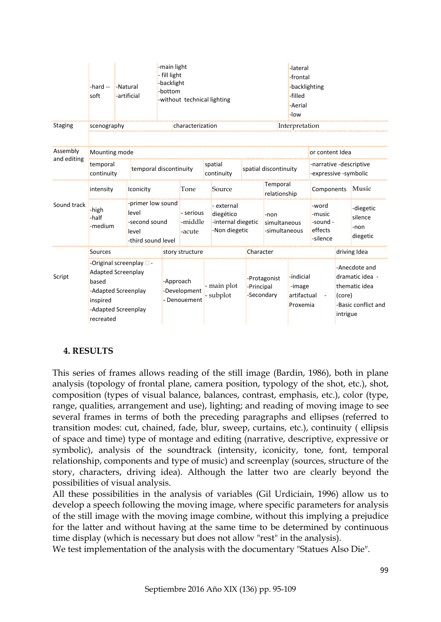|                         | -hard --<br>soft                                                                                                                              | -Natural<br>-artificial |                                                                            | -main light<br>-lateral<br>- fill light<br>-frontal<br>-backlight<br>-backlighting<br>-bottom<br>-filled<br>-without technical lighting<br>-Aerial<br>-low |                                |                          |                                                                |                            |                                                |                          |                                                                                                |            |                                          |  |
|-------------------------|-----------------------------------------------------------------------------------------------------------------------------------------------|-------------------------|----------------------------------------------------------------------------|------------------------------------------------------------------------------------------------------------------------------------------------------------|--------------------------------|--------------------------|----------------------------------------------------------------|----------------------------|------------------------------------------------|--------------------------|------------------------------------------------------------------------------------------------|------------|------------------------------------------|--|
| <b>Staging</b>          | scenography                                                                                                                                   |                         |                                                                            |                                                                                                                                                            | characterization               |                          |                                                                |                            |                                                | Interpretation           |                                                                                                |            |                                          |  |
| Assembly<br>and editing | Mounting mode<br>temporal                                                                                                                     |                         | temporal discontinuity                                                     |                                                                                                                                                            |                                |                          | spatial                                                        |                            | spatial discontinuity                          |                          | or content Idea<br>-narrative -descriptive<br>-expressive -symbolic                            |            |                                          |  |
| Sound track             | continuity<br>intensity                                                                                                                       |                         | Iconicity                                                                  |                                                                                                                                                            | Tone                           |                          | continuity<br>Source                                           |                            |                                                | Temporal<br>relationship |                                                                                                | Components | Music                                    |  |
|                         | -high<br>-half<br>-medium                                                                                                                     |                         | -primer low sound<br>level<br>-second sound<br>level<br>-third sound level |                                                                                                                                                            | - serious<br>-middle<br>-acute |                          | - external<br>diegético<br>-internal diegetic<br>-Non diegetic |                            | -non<br>simultaneous<br>-simultaneous          |                          | -word<br>-music<br>-sound -<br>effects<br>-silence                                             |            | -diegetic<br>silence<br>-non<br>diegetic |  |
| Script                  | Sources                                                                                                                                       |                         |                                                                            | story structure                                                                                                                                            |                                |                          | Character                                                      |                            | driving Idea                                   |                          |                                                                                                |            |                                          |  |
|                         | -Original screenplay $\square$ -<br><b>Adapted Screenplay</b><br>based<br>-Adapted Screenplay<br>inspired<br>-Adapted Screenplay<br>recreated |                         |                                                                            | -Approach<br>-Development<br>- Denouement                                                                                                                  |                                | - main plot<br>- subplot | -Principal                                                     | -Protagonist<br>-Secondary | -indicial<br>-image<br>artifactual<br>Proxemia |                          | -Anecdote and<br>dramatic idea -<br>thematic idea<br>(core)<br>-Basic conflict and<br>intrigue |            |                                          |  |

# **4. RESULTS**

This series of frames allows reading of the still image (Bardin, 1986), both in plane analysis (topology of frontal plane, camera position, typology of the shot, etc.), shot, composition (types of visual balance, balances, contrast, emphasis, etc.), color (type, range, qualities, arrangement and use), lighting; and reading of moving image to see several frames in terms of both the preceding paragraphs and ellipses (referred to transition modes: cut, chained, fade, blur, sweep, curtains, etc.), continuity ( ellipsis of space and time) type of montage and editing (narrative, descriptive, expressive or symbolic), analysis of the soundtrack (intensity, iconicity, tone, font, temporal relationship, components and type of music) and screenplay (sources, structure of the story, characters, driving idea). Although the latter two are clearly beyond the possibilities of visual analysis.

All these possibilities in the analysis of variables (Gil Urdiciain, 1996) allow us to develop a speech following the moving image, where specific parameters for analysis of the still image with the moving image combine, without this implying a prejudice for the latter and without having at the same time to be determined by continuous time display (which is necessary but does not allow "rest" in the analysis).

We test implementation of the analysis with the documentary "Statues Also Die".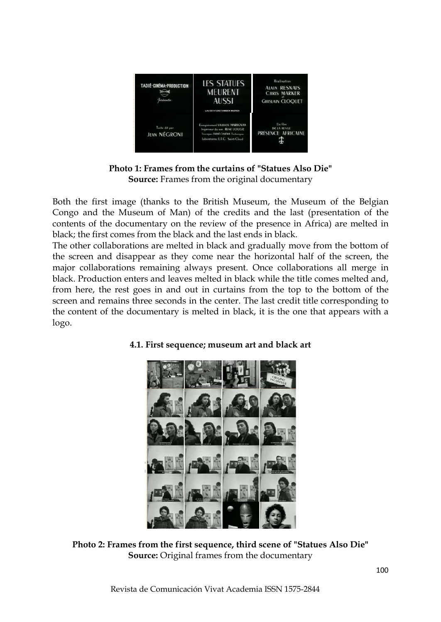

**Photo 1: Frames from the curtains of "Statues Also Die" Source:** Frames from the original documentary

Both the first image (thanks to the British Museum, the Museum of the Belgian Congo and the Museum of Man) of the credits and the last (presentation of the contents of the documentary on the review of the presence in Africa) are melted in black; the first comes from the black and the last ends in black.

The other collaborations are melted in black and gradually move from the bottom of the screen and disappear as they come near the horizontal half of the screen, the major collaborations remaining always present. Once collaborations all merge in black. Production enters and leaves melted in black while the title comes melted and, from here, the rest goes in and out in curtains from the top to the bottom of the screen and remains three seconds in the center. The last credit title corresponding to the content of the documentary is melted in black, it is the one that appears with a logo.



# **4.1. First sequence; museum art and black art**

**Photo 2: Frames from the first sequence, third scene of "Statues Also Die" Source:** Original frames from the documentary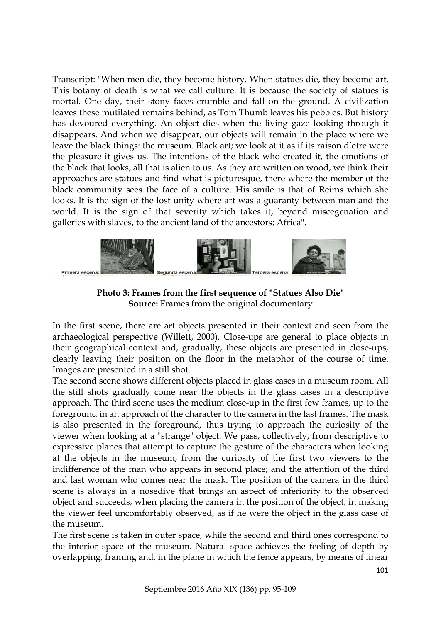Transcript: "When men die, they become history. When statues die, they become art. This botany of death is what we call culture. It is because the society of statues is mortal. One day, their stony faces crumble and fall on the ground. A civilization leaves these mutilated remains behind, as Tom Thumb leaves his pebbles. But history has devoured everything. An object dies when the living gaze looking through it disappears. And when we disappear, our objects will remain in the place where we leave the black things: the museum. Black art; we look at it as if its raison d'etre were the pleasure it gives us. The intentions of the black who created it, the emotions of the black that looks, all that is alien to us. As they are written on wood, we think their approaches are statues and find what is picturesque, there where the member of the black community sees the face of a culture. His smile is that of Reims which she looks. It is the sign of the lost unity where art was a guaranty between man and the world. It is the sign of that severity which takes it, beyond miscegenation and galleries with slaves, to the ancient land of the ancestors; Africa".



**Photo 3: Frames from the first sequence of "Statues Also Die" Source:** Frames from the original documentary

In the first scene, there are art objects presented in their context and seen from the archaeological perspective (Willett, 2000). Close-ups are general to place objects in their geographical context and, gradually, these objects are presented in close-ups, clearly leaving their position on the floor in the metaphor of the course of time. Images are presented in a still shot.

The second scene shows different objects placed in glass cases in a museum room. All the still shots gradually come near the objects in the glass cases in a descriptive approach. The third scene uses the medium close-up in the first few frames, up to the foreground in an approach of the character to the camera in the last frames. The mask is also presented in the foreground, thus trying to approach the curiosity of the viewer when looking at a "strange" object. We pass, collectively, from descriptive to expressive planes that attempt to capture the gesture of the characters when looking at the objects in the museum; from the curiosity of the first two viewers to the indifference of the man who appears in second place; and the attention of the third and last woman who comes near the mask. The position of the camera in the third scene is always in a nosedive that brings an aspect of inferiority to the observed object and succeeds, when placing the camera in the position of the object, in making the viewer feel uncomfortably observed, as if he were the object in the glass case of the museum.

The first scene is taken in outer space, while the second and third ones correspond to the interior space of the museum. Natural space achieves the feeling of depth by overlapping, framing and, in the plane in which the fence appears, by means of linear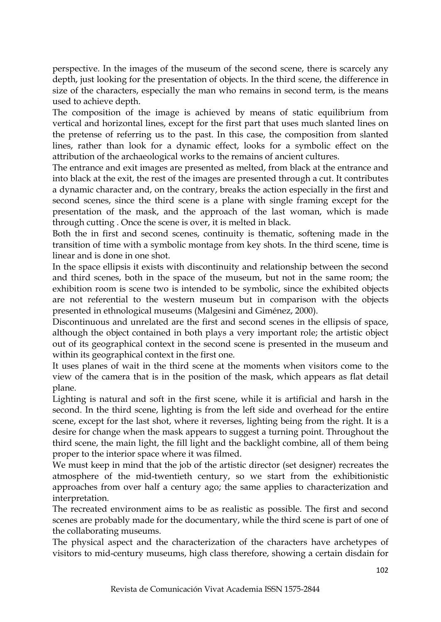perspective. In the images of the museum of the second scene, there is scarcely any depth, just looking for the presentation of objects. In the third scene, the difference in size of the characters, especially the man who remains in second term, is the means used to achieve depth.

The composition of the image is achieved by means of static equilibrium from vertical and horizontal lines, except for the first part that uses much slanted lines on the pretense of referring us to the past. In this case, the composition from slanted lines, rather than look for a dynamic effect, looks for a symbolic effect on the attribution of the archaeological works to the remains of ancient cultures.

The entrance and exit images are presented as melted, from black at the entrance and into black at the exit, the rest of the images are presented through a cut. It contributes a dynamic character and, on the contrary, breaks the action especially in the first and second scenes, since the third scene is a plane with single framing except for the presentation of the mask, and the approach of the last woman, which is made through cutting . Once the scene is over, it is melted in black.

Both the in first and second scenes, continuity is thematic, softening made in the transition of time with a symbolic montage from key shots. In the third scene, time is linear and is done in one shot.

In the space ellipsis it exists with discontinuity and relationship between the second and third scenes, both in the space of the museum, but not in the same room; the exhibition room is scene two is intended to be symbolic, since the exhibited objects are not referential to the western museum but in comparison with the objects presented in ethnological museums (Malgesini and Giménez, 2000).

Discontinuous and unrelated are the first and second scenes in the ellipsis of space, although the object contained in both plays a very important role; the artistic object out of its geographical context in the second scene is presented in the museum and within its geographical context in the first one.

It uses planes of wait in the third scene at the moments when visitors come to the view of the camera that is in the position of the mask, which appears as flat detail plane.

Lighting is natural and soft in the first scene, while it is artificial and harsh in the second. In the third scene, lighting is from the left side and overhead for the entire scene, except for the last shot, where it reverses, lighting being from the right. It is a desire for change when the mask appears to suggest a turning point. Throughout the third scene, the main light, the fill light and the backlight combine, all of them being proper to the interior space where it was filmed.

We must keep in mind that the job of the artistic director (set designer) recreates the atmosphere of the mid-twentieth century, so we start from the exhibitionistic approaches from over half a century ago; the same applies to characterization and interpretation.

The recreated environment aims to be as realistic as possible. The first and second scenes are probably made for the documentary, while the third scene is part of one of the collaborating museums.

The physical aspect and the characterization of the characters have archetypes of visitors to mid-century museums, high class therefore, showing a certain disdain for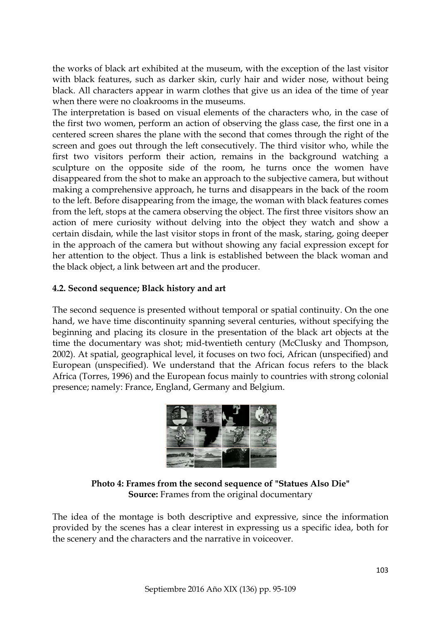the works of black art exhibited at the museum, with the exception of the last visitor with black features, such as darker skin, curly hair and wider nose, without being black. All characters appear in warm clothes that give us an idea of the time of year when there were no cloakrooms in the museums.

The interpretation is based on visual elements of the characters who, in the case of the first two women, perform an action of observing the glass case, the first one in a centered screen shares the plane with the second that comes through the right of the screen and goes out through the left consecutively. The third visitor who, while the first two visitors perform their action, remains in the background watching a sculpture on the opposite side of the room, he turns once the women have disappeared from the shot to make an approach to the subjective camera, but without making a comprehensive approach, he turns and disappears in the back of the room to the left. Before disappearing from the image, the woman with black features comes from the left, stops at the camera observing the object. The first three visitors show an action of mere curiosity without delving into the object they watch and show a certain disdain, while the last visitor stops in front of the mask, staring, going deeper in the approach of the camera but without showing any facial expression except for her attention to the object. Thus a link is established between the black woman and the black object, a link between art and the producer.

## **4.2. Second sequence; Black history and art**

The second sequence is presented without temporal or spatial continuity. On the one hand, we have time discontinuity spanning several centuries, without specifying the beginning and placing its closure in the presentation of the black art objects at the time the documentary was shot; mid-twentieth century (McClusky and Thompson, 2002). At spatial, geographical level, it focuses on two foci, African (unspecified) and European (unspecified). We understand that the African focus refers to the black Africa (Torres, 1996) and the European focus mainly to countries with strong colonial presence; namely: France, England, Germany and Belgium.



**Photo 4: Frames from the second sequence of "Statues Also Die" Source:** Frames from the original documentary

The idea of the montage is both descriptive and expressive, since the information provided by the scenes has a clear interest in expressing us a specific idea, both for the scenery and the characters and the narrative in voiceover.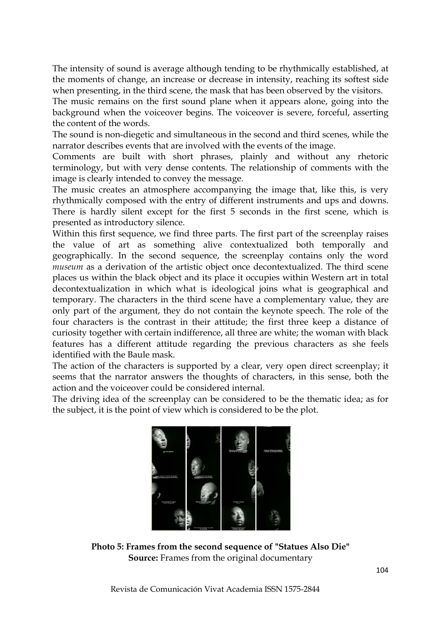The intensity of sound is average although tending to be rhythmically established, at the moments of change, an increase or decrease in intensity, reaching its softest side when presenting, in the third scene, the mask that has been observed by the visitors.

The music remains on the first sound plane when it appears alone, going into the background when the voiceover begins. The voiceover is severe, forceful, asserting the content of the words.

The sound is non-diegetic and simultaneous in the second and third scenes, while the narrator describes events that are involved with the events of the image.

Comments are built with short phrases, plainly and without any rhetoric terminology, but with very dense contents. The relationship of comments with the image is clearly intended to convey the message.

The music creates an atmosphere accompanying the image that, like this, is very rhythmically composed with the entry of different instruments and ups and downs. There is hardly silent except for the first 5 seconds in the first scene, which is presented as introductory silence.

Within this first sequence, we find three parts. The first part of the screenplay raises the value of art as something alive contextualized both temporally and geographically. In the second sequence, the screenplay contains only the word *museum* as a derivation of the artistic object once decontextualized. The third scene places us within the black object and its place it occupies within Western art in total decontextualization in which what is ideological joins what is geographical and temporary. The characters in the third scene have a complementary value, they are only part of the argument, they do not contain the keynote speech. The role of the four characters is the contrast in their attitude; the first three keep a distance of curiosity together with certain indifference, all three are white; the woman with black features has a different attitude regarding the previous characters as she feels identified with the Baule mask.

The action of the characters is supported by a clear, very open direct screenplay; it seems that the narrator answers the thoughts of characters, in this sense, both the action and the voiceover could be considered internal.

The driving idea of the screenplay can be considered to be the thematic idea; as for the subject, it is the point of view which is considered to be the plot.



**Photo 5: Frames from the second sequence of "Statues Also Die" Source:** Frames from the original documentary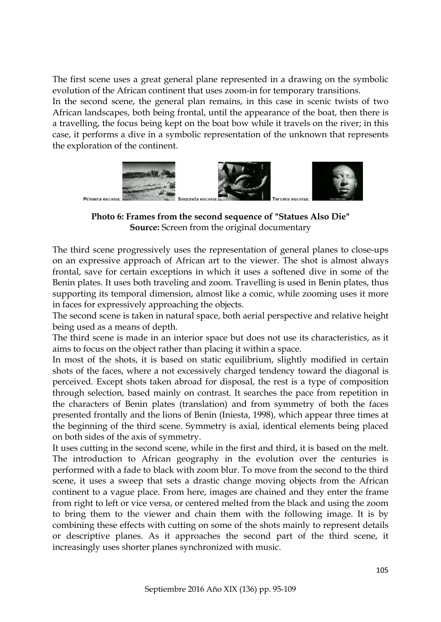The first scene uses a great general plane represented in a drawing on the symbolic evolution of the African continent that uses zoom-in for temporary transitions. In the second scene, the general plan remains, in this case in scenic twists of two African landscapes, both being frontal, until the appearance of the boat, then there is a travelling, the focus being kept on the boat bow while it travels on the river; in this case, it performs a dive in a symbolic representation of the unknown that represents the exploration of the continent.



**Photo 6: Frames from the second sequence of "Statues Also Die" Source:** Screen from the original documentary

The third scene progressively uses the representation of general planes to close-ups on an expressive approach of African art to the viewer. The shot is almost always frontal, save for certain exceptions in which it uses a softened dive in some of the Benin plates. It uses both traveling and zoom. Travelling is used in Benin plates, thus supporting its temporal dimension, almost like a comic, while zooming uses it more in faces for expressively approaching the objects.

The second scene is taken in natural space, both aerial perspective and relative height being used as a means of depth.

The third scene is made in an interior space but does not use its characteristics, as it aims to focus on the object rather than placing it within a space.

In most of the shots, it is based on static equilibrium, slightly modified in certain shots of the faces, where a not excessively charged tendency toward the diagonal is perceived. Except shots taken abroad for disposal, the rest is a type of composition through selection, based mainly on contrast. It searches the pace from repetition in the characters of Benin plates (translation) and from symmetry of both the faces presented frontally and the lions of Benin (Iniesta, 1998), which appear three times at the beginning of the third scene. Symmetry is axial, identical elements being placed on both sides of the axis of symmetry.

It uses cutting in the second scene, while in the first and third, it is based on the melt. The introduction to African geography in the evolution over the centuries is performed with a fade to black with zoom blur. To move from the second to the third scene, it uses a sweep that sets a drastic change moving objects from the African continent to a vague place. From here, images are chained and they enter the frame from right to left or vice versa, or centered melted from the black and using the zoom to bring them to the viewer and chain them with the following image. It is by combining these effects with cutting on some of the shots mainly to represent details or descriptive planes. As it approaches the second part of the third scene, it increasingly uses shorter planes synchronized with music.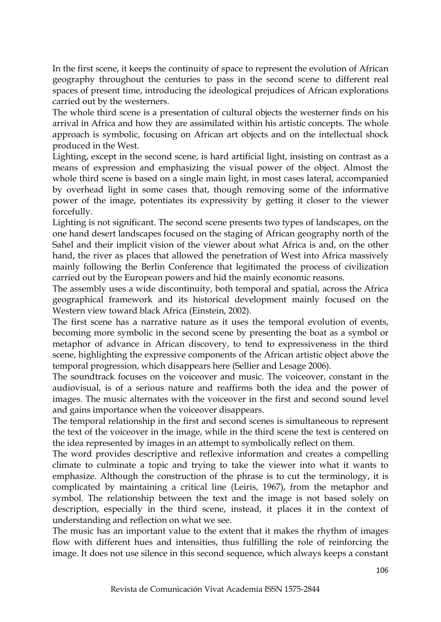In the first scene, it keeps the continuity of space to represent the evolution of African geography throughout the centuries to pass in the second scene to different real spaces of present time, introducing the ideological prejudices of African explorations carried out by the westerners.

The whole third scene is a presentation of cultural objects the westerner finds on his arrival in Africa and how they are assimilated within his artistic concepts. The whole approach is symbolic, focusing on African art objects and on the intellectual shock produced in the West.

Lighting, except in the second scene, is hard artificial light, insisting on contrast as a means of expression and emphasizing the visual power of the object. Almost the whole third scene is based on a single main light, in most cases lateral, accompanied by overhead light in some cases that, though removing some of the informative power of the image, potentiates its expressivity by getting it closer to the viewer forcefully.

Lighting is not significant. The second scene presents two types of landscapes, on the one hand desert landscapes focused on the staging of African geography north of the Sahel and their implicit vision of the viewer about what Africa is and, on the other hand, the river as places that allowed the penetration of West into Africa massively mainly following the Berlin Conference that legitimated the process of civilization carried out by the European powers and hid the mainly economic reasons.

The assembly uses a wide discontinuity, both temporal and spatial, across the Africa geographical framework and its historical development mainly focused on the Western view toward black Africa (Einstein, 2002).

The first scene has a narrative nature as it uses the temporal evolution of events, becoming more symbolic in the second scene by presenting the boat as a symbol or metaphor of advance in African discovery, to tend to expressiveness in the third scene, highlighting the expressive components of the African artistic object above the temporal progression, which disappears here (Sellier and Lesage 2006).

The soundtrack focuses on the voiceover and music. The voiceover, constant in the audiovisual, is of a serious nature and reaffirms both the idea and the power of images. The music alternates with the voiceover in the first and second sound level and gains importance when the voiceover disappears.

The temporal relationship in the first and second scenes is simultaneous to represent the text of the voiceover in the image, while in the third scene the text is centered on the idea represented by images in an attempt to symbolically reflect on them.

The word provides descriptive and reflexive information and creates a compelling climate to culminate a topic and trying to take the viewer into what it wants to emphasize. Although the construction of the phrase is to cut the terminology, it is complicated by maintaining a critical line (Leiris, 1967), from the metaphor and symbol. The relationship between the text and the image is not based solely on description, especially in the third scene, instead, it places it in the context of understanding and reflection on what we see.

The music has an important value to the extent that it makes the rhythm of images flow with different hues and intensities, thus fulfilling the role of reinforcing the image. It does not use silence in this second sequence, which always keeps a constant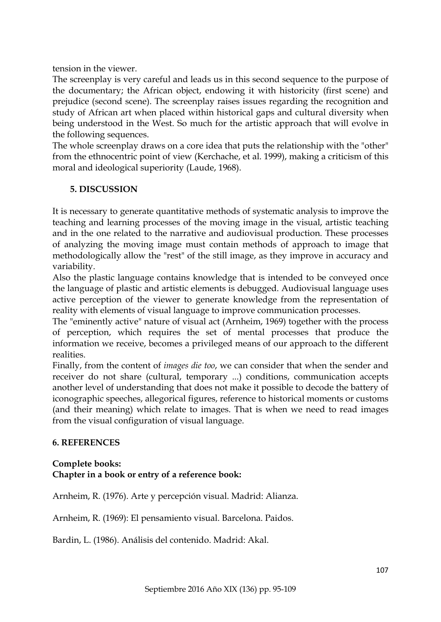tension in the viewer.

The screenplay is very careful and leads us in this second sequence to the purpose of the documentary; the African object, endowing it with historicity (first scene) and prejudice (second scene). The screenplay raises issues regarding the recognition and study of African art when placed within historical gaps and cultural diversity when being understood in the West. So much for the artistic approach that will evolve in the following sequences.

The whole screenplay draws on a core idea that puts the relationship with the "other" from the ethnocentric point of view (Kerchache, et al. 1999), making a criticism of this moral and ideological superiority (Laude, 1968).

## **5. DISCUSSION**

It is necessary to generate quantitative methods of systematic analysis to improve the teaching and learning processes of the moving image in the visual, artistic teaching and in the one related to the narrative and audiovisual production. These processes of analyzing the moving image must contain methods of approach to image that methodologically allow the "rest" of the still image, as they improve in accuracy and variability.

Also the plastic language contains knowledge that is intended to be conveyed once the language of plastic and artistic elements is debugged. Audiovisual language uses active perception of the viewer to generate knowledge from the representation of reality with elements of visual language to improve communication processes.

The "eminently active" nature of visual act (Arnheim, 1969) together with the process of perception, which requires the set of mental processes that produce the information we receive, becomes a privileged means of our approach to the different realities.

Finally, from the content of *images die too*, we can consider that when the sender and receiver do not share (cultural, temporary ...) conditions, communication accepts another level of understanding that does not make it possible to decode the battery of iconographic speeches, allegorical figures, reference to historical moments or customs (and their meaning) which relate to images. That is when we need to read images from the visual configuration of visual language.

# **6. REFERENCES**

## **Complete books: Chapter in a book or entry of a reference book:**

Arnheim, R. (1976). Arte y percepción visual. Madrid: Alianza.

Arnheim, R. (1969): El pensamiento visual. Barcelona. Paidos.

Bardin, L. (1986). Análisis del contenido. Madrid: Akal.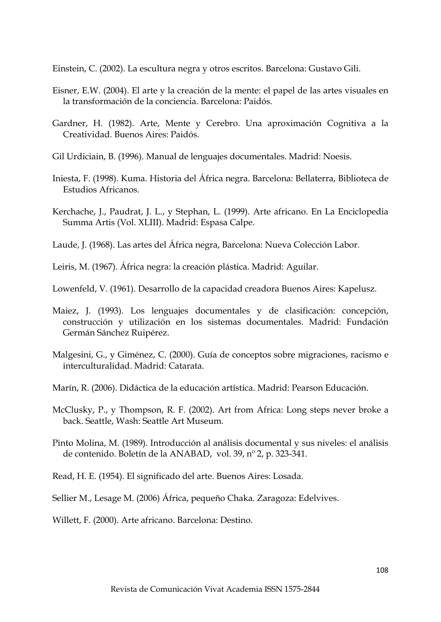Einstein, C. (2002). La escultura negra y otros escritos. Barcelona: Gustavo Gili.

- Eisner, E.W. (2004). El arte y la creación de la mente: el papel de las artes visuales en la transformación de la conciencia. Barcelona: Paidós.
- Gardner, H. (1982). Arte, Mente y Cerebro. Una aproximación Cognitiva a la Creatividad. Buenos Aires: Paidós.
- Gil Urdiciain, B. (1996). Manual de lenguajes documentales. Madrid: Noesis.
- Iniesta, F. (1998). Kuma. Historia del África negra. Barcelona: Bellaterra, Biblioteca de Estudios Africanos.
- Kerchache, J., Paudrat, J. L., y Stephan, L. (1999). Arte africano. En La Enciclopedia Summa Artis (Vol. XLIII). Madrid: Espasa Calpe.
- Laude, J. (1968). Las artes del África negra, Barcelona: Nueva Colección Labor.
- Leiris, M. (1967). África negra: la creación plástica. Madrid: Aguilar.
- Lowenfeld, V. (1961). Desarrollo de la capacidad creadora Buenos Aires: Kapelusz.
- Maiez, J. (1993). Los lenguajes documentales y de clasificación: concepción, construcción y utilización en los sistemas documentales. Madrid: Fundación Germán Sánchez Ruipérez.
- Malgesini, G., y Giménez, C. (2000). Guía de conceptos sobre migraciones, racismo e interculturalidad. Madrid: Catarata.
- Marín, R. (2006). Didáctica de la educación artística. Madrid: Pearson Educación.
- McClusky, P., y Thompson, R. F. (2002). Art from Africa: Long steps never broke a back. Seattle, Wash: Seattle Art Museum.
- Pinto Molina, M. (1989). Introducción al análisis documental y sus niveles: el análisis de contenido. Boletín de la ANABAD, vol. 39, nº 2, p. 323-341.
- Read, H. E. (1954). El significado del arte. Buenos Aires: Losada.
- Sellier M., Lesage M. (2006) África, pequeño Chaka. Zaragoza: Edelvives.
- Willett, F. (2000). Arte africano. Barcelona: Destino.